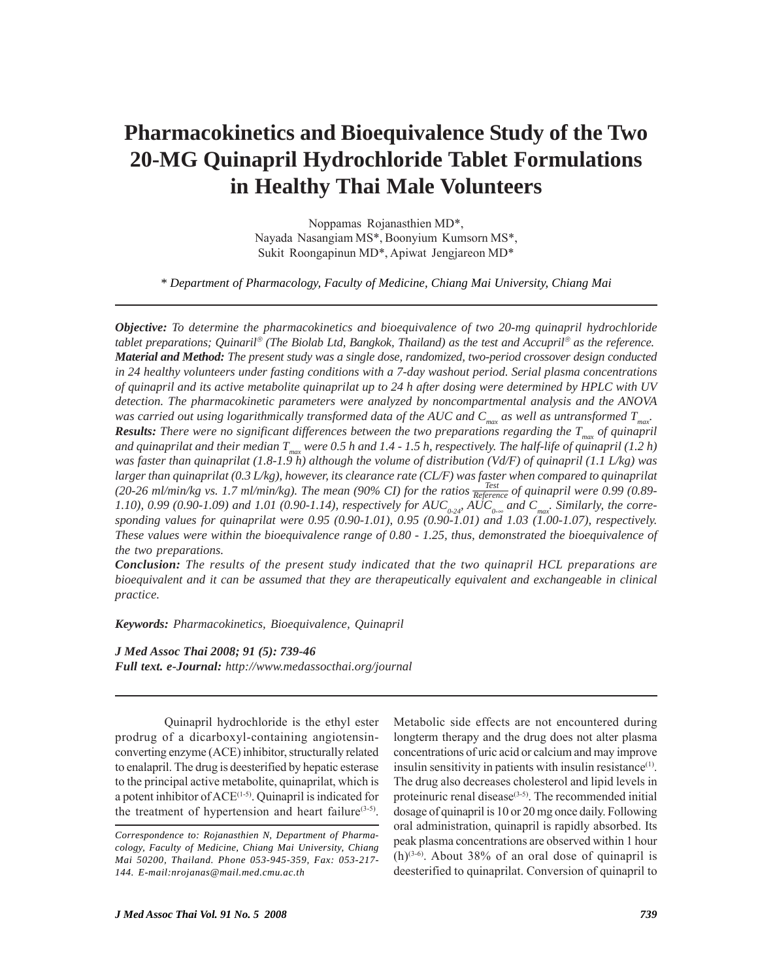# **Pharmacokinetics and Bioequivalence Study of the Two 20-MG Quinapril Hydrochloride Tablet Formulations in Healthy Thai Male Volunteers**

Noppamas Rojanasthien MD\*, Nayada Nasangiam MS\*, Boonyium Kumsorn MS\*, Sukit Roongapinun MD\*, Apiwat Jengjareon MD\*

*\* Department of Pharmacology, Faculty of Medicine, Chiang Mai University, Chiang Mai*

*Objective: To determine the pharmacokinetics and bioequivalence of two 20-mg quinapril hydrochloride tablet preparations; Quinaril*® *(The Biolab Ltd, Bangkok, Thailand) as the test and Accupril*® *as the reference. Material and Method: The present study was a single dose, randomized, two-period crossover design conducted in 24 healthy volunteers under fasting conditions with a 7-day washout period. Serial plasma concentrations of quinapril and its active metabolite quinaprilat up to 24 h after dosing were determined by HPLC with UV detection. The pharmacokinetic parameters were analyzed by noncompartmental analysis and the ANOVA was carried out using logarithmically transformed data of the AUC and Cmax as well as untransformed Tmax. Results: There were no significant differences between the two preparations regarding the Tmax of quinapril* and quinaprilat and their median  $T_{max}$  were 0.5 h and 1.4 - 1.5 h, respectively. The half-life of quinapril (1.2 h) *was faster than quinaprilat (1.8-1.9 h) although the volume of distribution (Vd/F) of quinapril (1.1 L/kg) was larger than quinaprilat (0.3 L/kg), however, its clearance rate (CL/F) was faster when compared to quinaprilat* (20-26 ml/min/kg vs. 1.7 ml/min/kg). The mean (90% CI) for the ratios  $\frac{Test}{Reference}$  of quinapril were 0.99 (0.89-1.10), 0.99 (0.90-1.09) and 1.01 (0.90-1.14), respectively for  $AUC_{0.24}$   $AUC_{0.00}$  and  $C_{max}$ . Similarly, the corre*sponding values for quinaprilat were 0.95 (0.90-1.01), 0.95 (0.90-1.01) and 1.03 (1.00-1.07), respectively. These values were within the bioequivalence range of 0.80 - 1.25, thus, demonstrated the bioequivalence of the two preparations.*

*Conclusion: The results of the present study indicated that the two quinapril HCL preparations are bioequivalent and it can be assumed that they are therapeutically equivalent and exchangeable in clinical practice.*

*Keywords: Pharmacokinetics, Bioequivalence, Quinapril*

*J Med Assoc Thai 2008; 91 (5): 739-46 Full text. e-Journal: http://www.medassocthai.org/journal*

 Quinapril hydrochloride is the ethyl ester prodrug of a dicarboxyl-containing angiotensinconverting enzyme (ACE) inhibitor, structurally related to enalapril. The drug is deesterified by hepatic esterase to the principal active metabolite, quinaprilat, which is a potent inhibitor of ACE<sup>(1-5)</sup>. Quinapril is indicated for the treatment of hypertension and heart failure<sup>(3-5)</sup>.

Metabolic side effects are not encountered during longterm therapy and the drug does not alter plasma concentrations of uric acid or calcium and may improve insulin sensitivity in patients with insulin resistance $(1)$ . The drug also decreases cholesterol and lipid levels in proteinuric renal disease<sup>(3-5)</sup>. The recommended initial dosage of quinapril is 10 or 20 mg once daily. Following oral administration, quinapril is rapidly absorbed. Its peak plasma concentrations are observed within 1 hour  $(h)^{(3-6)}$ . About 38% of an oral dose of quinapril is deesterified to quinaprilat. Conversion of quinapril to

*Correspondence to: Rojanasthien N, Department of Pharmacology, Faculty of Medicine, Chiang Mai University, Chiang Mai 50200, Thailand. Phone 053-945-359, Fax: 053-217- 144. E-mail:nrojanas@mail.med.cmu.ac.th*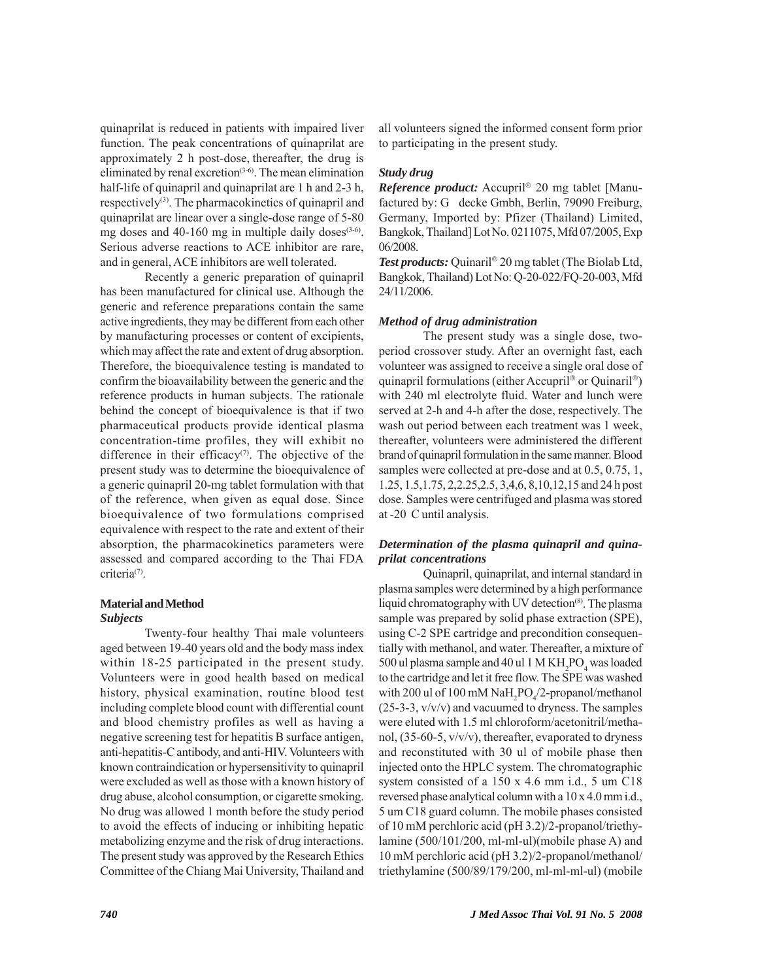quinaprilat is reduced in patients with impaired liver function. The peak concentrations of quinaprilat are approximately 2 h post-dose, thereafter, the drug is eliminated by renal excretion<sup>(3-6)</sup>. The mean elimination half-life of quinapril and quinaprilat are 1 h and 2-3 h, respectively<sup>(3)</sup>. The pharmacokinetics of quinapril and quinaprilat are linear over a single-dose range of 5-80 mg doses and 40-160 mg in multiple daily doses $(3-6)$ . Serious adverse reactions to ACE inhibitor are rare, and in general, ACE inhibitors are well tolerated.

Recently a generic preparation of quinapril has been manufactured for clinical use. Although the generic and reference preparations contain the same active ingredients, they may be different from each other by manufacturing processes or content of excipients, which may affect the rate and extent of drug absorption. Therefore, the bioequivalence testing is mandated to confirm the bioavailability between the generic and the reference products in human subjects. The rationale behind the concept of bioequivalence is that if two pharmaceutical products provide identical plasma concentration-time profiles, they will exhibit no difference in their efficacy $(7)$ . The objective of the present study was to determine the bioequivalence of a generic quinapril 20-mg tablet formulation with that of the reference, when given as equal dose. Since bioequivalence of two formulations comprised equivalence with respect to the rate and extent of their absorption, the pharmacokinetics parameters were assessed and compared according to the Thai FDA criteria<sup>(7)</sup>.

### **Material and Method**

#### *Subjects*

Twenty-four healthy Thai male volunteers aged between 19-40 years old and the body mass index within 18-25 participated in the present study. Volunteers were in good health based on medical history, physical examination, routine blood test including complete blood count with differential count and blood chemistry profiles as well as having a negative screening test for hepatitis B surface antigen, anti-hepatitis-C antibody, and anti-HIV. Volunteers with known contraindication or hypersensitivity to quinapril were excluded as well as those with a known history of drug abuse, alcohol consumption, or cigarette smoking. No drug was allowed 1 month before the study period to avoid the effects of inducing or inhibiting hepatic metabolizing enzyme and the risk of drug interactions. The present study was approved by the Research Ethics Committee of the Chiang Mai University, Thailand and all volunteers signed the informed consent form prior to participating in the present study.

#### *Study drug*

*Reference product:* Accupril® 20 mg tablet [Manufactured by: G decke Gmbh, Berlin, 79090 Freiburg, Germany, Imported by: Pfizer (Thailand) Limited, Bangkok, Thailand] Lot No. 0211075, Mfd 07/2005, Exp 06/2008.

*Test products:* Quinaril® 20 mg tablet (The Biolab Ltd, Bangkok, Thailand) Lot No: Q-20-022/FQ-20-003, Mfd 24/11/2006.

#### *Method of drug administration*

The present study was a single dose, twoperiod crossover study. After an overnight fast, each volunteer was assigned to receive a single oral dose of quinapril formulations (either Accupril® or Quinaril®) with 240 ml electrolyte fluid. Water and lunch were served at 2-h and 4-h after the dose, respectively. The wash out period between each treatment was 1 week, thereafter, volunteers were administered the different brand of quinapril formulation in the same manner. Blood samples were collected at pre-dose and at 0.5, 0.75, 1, 1.25, 1.5,1.75, 2,2.25,2.5, 3,4,6, 8,10,12,15 and 24 h post dose. Samples were centrifuged and plasma was stored at -20 C until analysis.

#### *Determination of the plasma quinapril and quinaprilat concentrations*

Quinapril, quinaprilat, and internal standard in plasma samples were determined by a high performance liquid chromatography with UV detection<sup>(8)</sup>. The plasma sample was prepared by solid phase extraction (SPE), using C-2 SPE cartridge and precondition consequentially with methanol, and water. Thereafter, a mixture of 500 ul plasma sample and 40 ul 1 M  $\rm KH_2PO_4$  was loaded to the cartridge and let it free flow. The SPE was washed with 200 ul of 100 mM  $\mathrm{NaH_{2}PO_{4}/2\text{-}propanol/methanol}$ (25-3-3, v/v/v) and vacuumed to dryness. The samples were eluted with 1.5 ml chloroform/acetonitril/methanol, (35-60-5, v/v/v), thereafter, evaporated to dryness and reconstituted with 30 ul of mobile phase then injected onto the HPLC system. The chromatographic system consisted of a 150 x 4.6 mm i.d., 5 um C18 reversed phase analytical column with a 10 x 4.0 mm i.d., 5 um C18 guard column. The mobile phases consisted of 10 mM perchloric acid (pH 3.2)/2-propanol/triethylamine (500/101/200, ml-ml-ul)(mobile phase A) and 10 mM perchloric acid (pH 3.2)/2-propanol/methanol/ triethylamine (500/89/179/200, ml-ml-ml-ul) (mobile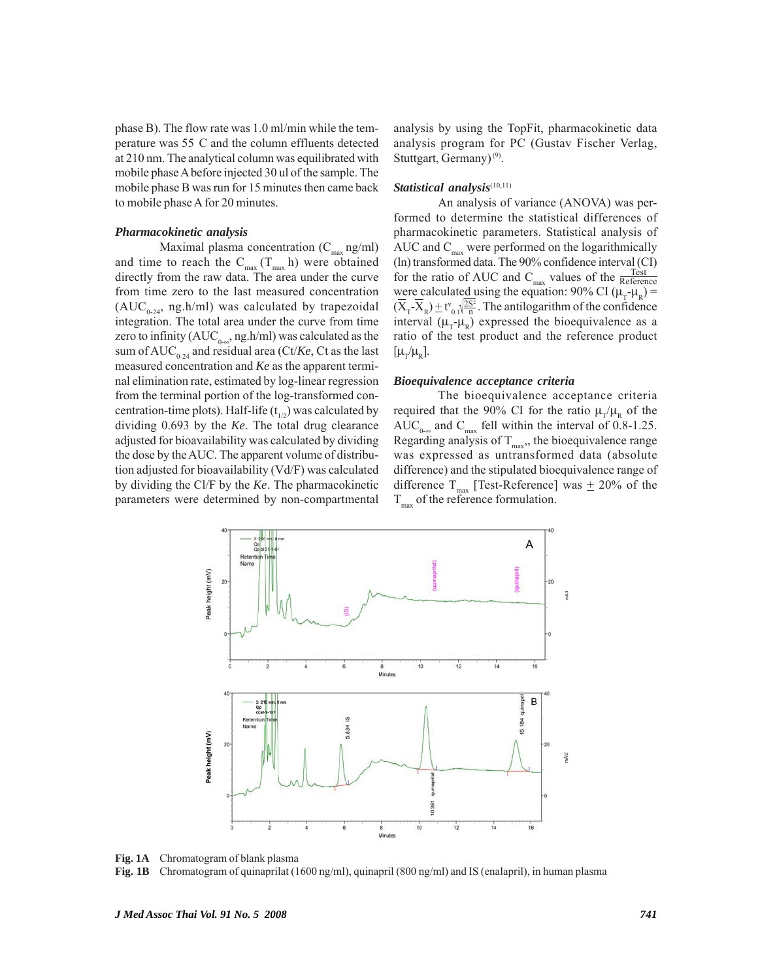phase B). The flow rate was 1.0 ml/min while the temperature was 55C and the column effluents detected at 210 nm. The analytical column was equilibrated with mobile phase A before injected 30 ul of the sample. The mobile phase B was run for 15 minutes then came back to mobile phase A for 20 minutes.

#### *Pharmacokinetic analysis*

Maximal plasma concentration  $(C_{\text{max}}$  ng/ml) and time to reach the  $C_{max}(T_{max} h)$  were obtained directly from the raw data. The area under the curve from time zero to the last measured concentration  $(AUC_{0.24}$ , ng.h/ml) was calculated by trapezoidal integration. The total area under the curve from time zero to infinity (AUC<sub>0-∞</sub>, ng.h/ml) was calculated as the sum of  $AUC_{0.24}$  and residual area (Ct/*Ke*, Ct as the last measured concentration and *Ke* as the apparent terminal elimination rate, estimated by log-linear regression from the terminal portion of the log-transformed concentration-time plots). Half-life  $(t_{1/2})$  was calculated by dividing 0.693 by the *Ke*. The total drug clearance adjusted for bioavailability was calculated by dividing the dose by the AUC. The apparent volume of distribution adjusted for bioavailability (Vd/F) was calculated by dividing the Cl/F by the *Ke*. The pharmacokinetic parameters were determined by non-compartmental

analysis by using the TopFit, pharmacokinetic data analysis program for PC (Gustav Fischer Verlag, Stuttgart, Germany)<sup>(9)</sup>.

#### Statistical analysis<sup>(10,11)</sup>

An analysis of variance (ANOVA) was performed to determine the statistical differences of pharmacokinetic parameters. Statistical analysis of AUC and  $C_{\text{max}}$  were performed on the logarithmically (ln) transformed data. The 90% confidence interval (CI) for the ratio of AUC and  $C_{\text{max}}$  values of the  $\frac{\text{Test}}{\text{Reference}}$ were calculated using the equation: 90% CI ( $\mu_r$ - $\mu_R$ ) =  $(\overline{X}_T - \overline{X}_R) \pm t_{0,1}^{\vee} \sqrt{\frac{2S^2}{n}}$ . The antilogarithm of the confidence interval  $(\mu_r-\mu_p)$  expressed the bioequivalence as a ratio of the test product and the reference product  $[\mu_r/\mu_{\rm p}].$ 

#### *Bioequivalence acceptance criteria*

The bioequivalence acceptance criteria required that the 90% CI for the ratio  $\mu_{\tau}/\mu_{\nu}$  of the AUC<sub>0-∞</sub> and C<sub>max</sub> fell within the interval of 0.8-1.25. Regarding analysis of  $T_{\text{max}}$ , the bioequivalence range was expressed as untransformed data (absolute difference) and the stipulated bioequivalence range of difference T<sub>max</sub> [Test-Reference] was  $\pm$  20% of the  $T_{\text{max}}$  of the reference formulation.





**Fig. 1B** Chromatogram of quinaprilat (1600 ng/ml), quinapril (800 ng/ml) and IS (enalapril), in human plasma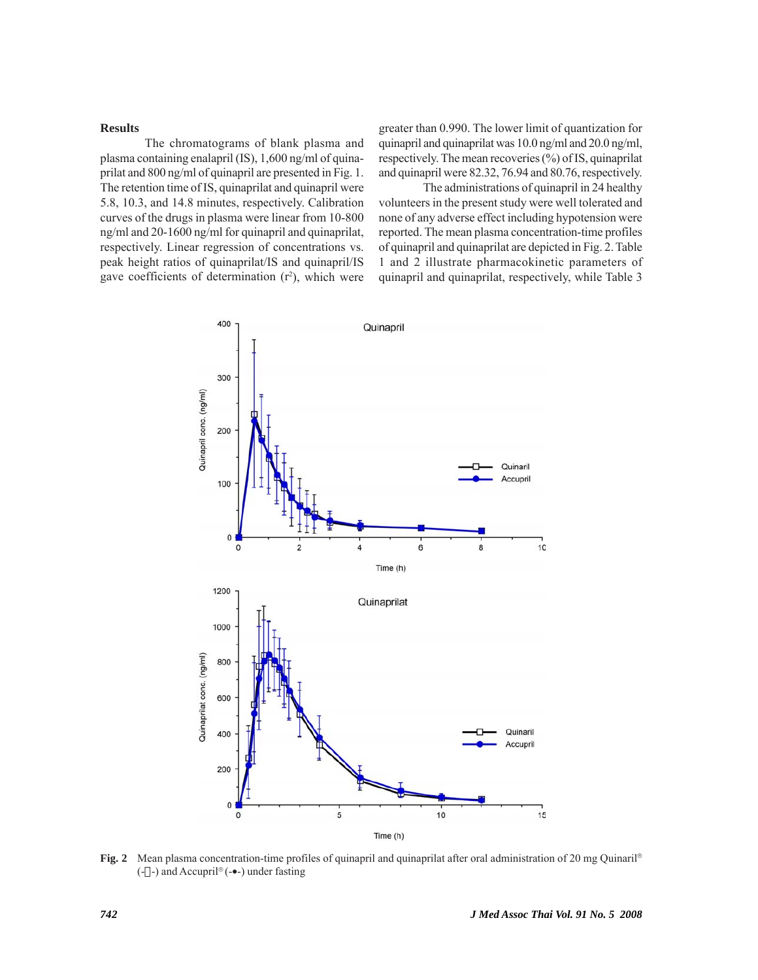#### **Results**

The chromatograms of blank plasma and plasma containing enalapril (IS), 1,600 ng/ml of quinaprilat and 800 ng/ml of quinapril are presented in Fig. 1. The retention time of IS, quinaprilat and quinapril were 5.8, 10.3, and 14.8 minutes, respectively. Calibration curves of the drugs in plasma were linear from 10-800 ng/ml and 20-1600 ng/ml for quinapril and quinaprilat, respectively. Linear regression of concentrations vs. peak height ratios of quinaprilat/IS and quinapril/IS gave coefficients of determination  $(r^2)$ , which were

greater than 0.990. The lower limit of quantization for quinapril and quinaprilat was 10.0 ng/ml and 20.0 ng/ml, respectively. The mean recoveries (%) of IS, quinaprilat and quinapril were 82.32, 76.94 and 80.76, respectively.

The administrations of quinapril in 24 healthy volunteers in the present study were well tolerated and none of any adverse effect including hypotension were reported. The mean plasma concentration-time profiles of quinapril and quinaprilat are depicted in Fig. 2. Table 1 and 2 illustrate pharmacokinetic parameters of quinapril and quinaprilat, respectively, while Table 3



**Fig. 2** Mean plasma concentration-time profiles of quinapril and quinaprilat after oral administration of 20 mg Quinaril®  $(-$ ]-) and Accupril<sup>®</sup> (- $\bullet$ -) under fasting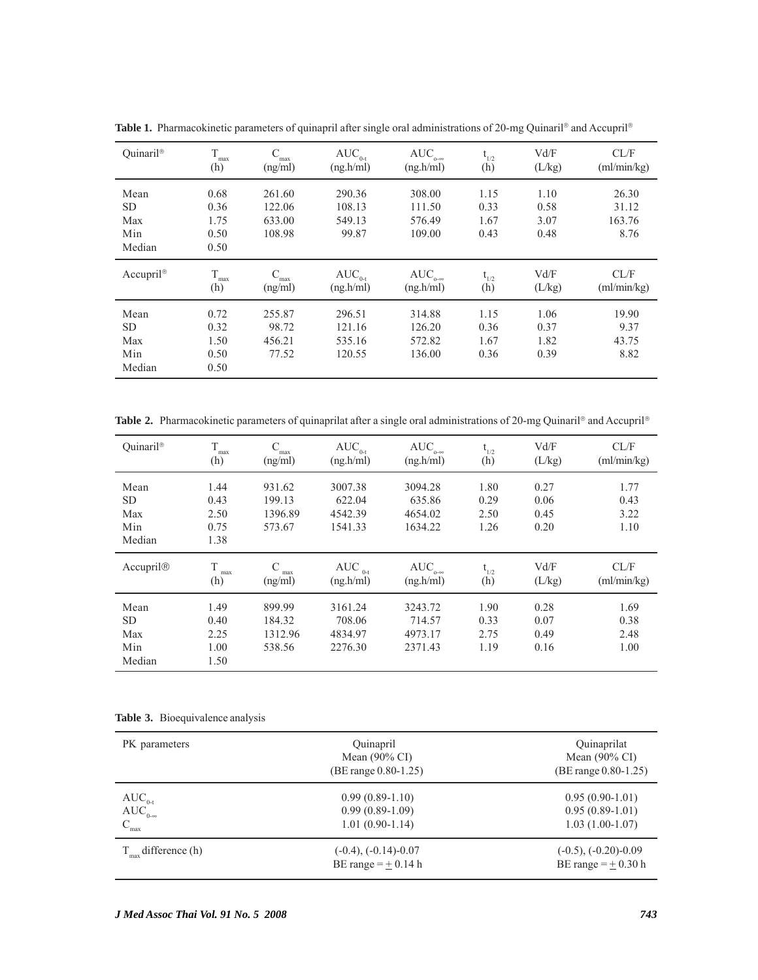| Quinaril®              | T            |                | $AUC_{0-t}$              | $AUC_{\alpha-\infty}$              | $t_{1/2}$ | Vd/F   | CL/F        |
|------------------------|--------------|----------------|--------------------------|------------------------------------|-----------|--------|-------------|
|                        | max<br>(h)   | max<br>(ng/ml) | (ng.h/ml)                | (ng.h/ml)                          | (h)       | (L/kg) | (ml/min/kg) |
|                        |              |                |                          |                                    |           |        |             |
| Mean                   | 0.68         | 261.60         | 290.36                   | 308.00                             | 1.15      | 1.10   | 26.30       |
| <b>SD</b>              | 0.36         | 122.06         | 108.13                   | 111.50                             | 0.33      | 0.58   | 31.12       |
| Max                    | 1.75         | 633.00         | 549.13                   | 576.49                             | 1.67      | 3.07   | 163.76      |
| Min                    | 0.50         | 108.98         | 99.87                    | 109.00                             | 0.43      | 0.48   | 8.76        |
| Median                 | 0.50         |                |                          |                                    |           |        |             |
|                        |              |                |                          |                                    |           |        |             |
|                        |              |                |                          |                                    |           |        |             |
| $Accupril^{\circledR}$ | T            | C              |                          |                                    |           | Vd/F   | CL/F        |
|                        | max          | max            | $AUC_{0-t}$<br>(ng.h/ml) | $AUC_{\alpha-\infty}$<br>(ng.h/ml) | $t_{1/2}$ |        | (ml/min/kg) |
|                        | (h)          | (ng/ml)        |                          |                                    | (h)       | (L/kg) |             |
| Mean                   | 0.72         | 255.87         | 296.51                   | 314.88                             | 1.15      | 1.06   | 19.90       |
| <b>SD</b>              | 0.32         | 98.72          | 121.16                   | 126.20                             | 0.36      | 0.37   | 9.37        |
| Max                    | 1.50         | 456.21         | 535.16                   | 572.82                             | 1.67      | 1.82   | 43.75       |
|                        |              |                |                          |                                    |           |        |             |
| Min<br>Median          | 0.50<br>0.50 | 77.52          | 120.55                   | 136.00                             | 0.36      | 0.39   | 8.82        |

**Table 1.** Pharmacokinetic parameters of quinapril after single oral administrations of 20-mg Quinaril® and Accupril®

**Table 2.** Pharmacokinetic parameters of quinaprilat after a single oral administrations of 20-mg Quinaril® and Accupril®

| Ouinaril <sup>®</sup>                     | T<br>max<br>(h)                      | ⊂<br>max<br>(ng/ml)                   | $AUC_{0-t}$<br>(ng.h/ml)                | $AUC_{\circ\circ\circ}$<br>(ng.h/ml)    | $t_{1/2}$<br>(h)             | Vd/F<br>(L/kg)               | CL/F<br>(ml/min/kg)          |
|-------------------------------------------|--------------------------------------|---------------------------------------|-----------------------------------------|-----------------------------------------|------------------------------|------------------------------|------------------------------|
| Mean<br><b>SD</b><br>Max<br>Min<br>Median | 1.44<br>0.43<br>2.50<br>0.75<br>1.38 | 931.62<br>199.13<br>1396.89<br>573.67 | 3007.38<br>622.04<br>4542.39<br>1541.33 | 3094.28<br>635.86<br>4654.02<br>1634.22 | 1.80<br>0.29<br>2.50<br>1.26 | 0.27<br>0.06<br>0.45<br>0.20 | 1.77<br>0.43<br>3.22<br>1.10 |
|                                           |                                      |                                       |                                         |                                         |                              |                              |                              |
| Accupril@                                 | T<br>max<br>(h)                      | max<br>(ng/ml)                        | AUC $_{0-t}$<br>(ng,h/ml)               | $AUC_{\circ\circ\circ}$<br>(ng.h/ml)    | $t_{1/2}$<br>(h)             | Vd/F<br>(L/kg)               | CL/F<br>(ml/min/kg)          |

**Table 3.** Bioequivalence analysis

| PK parameters                                       | Quinapril<br>Mean $(90\% \text{ CI})$<br>$(BE range 0.80-1.25)$ | Quinaprilat<br>Mean $(90\% \text{ CI})$<br>$(BE range 0.80-1.25)$ |
|-----------------------------------------------------|-----------------------------------------------------------------|-------------------------------------------------------------------|
| $AUC_{0-t}$<br>$AUC_{0-\infty}$<br>$C_{\text{max}}$ | $0.99(0.89-1.10)$<br>$0.99(0.89-1.09)$<br>$1.01(0.90-1.14)$     | $0.95(0.90-1.01)$<br>$0.95(0.89-1.01)$<br>$1.03(1.00-1.07)$       |
| $T_{\text{max}}$ difference (h)                     | $(-0.4)$ , $(-0.14)$ -0.07<br>BE range $=$ $\pm$ 0.14 h         | $(-0.5)$ , $(-0.20)$ -0.09<br>BE range $=$ $\pm$ 0.30 h           |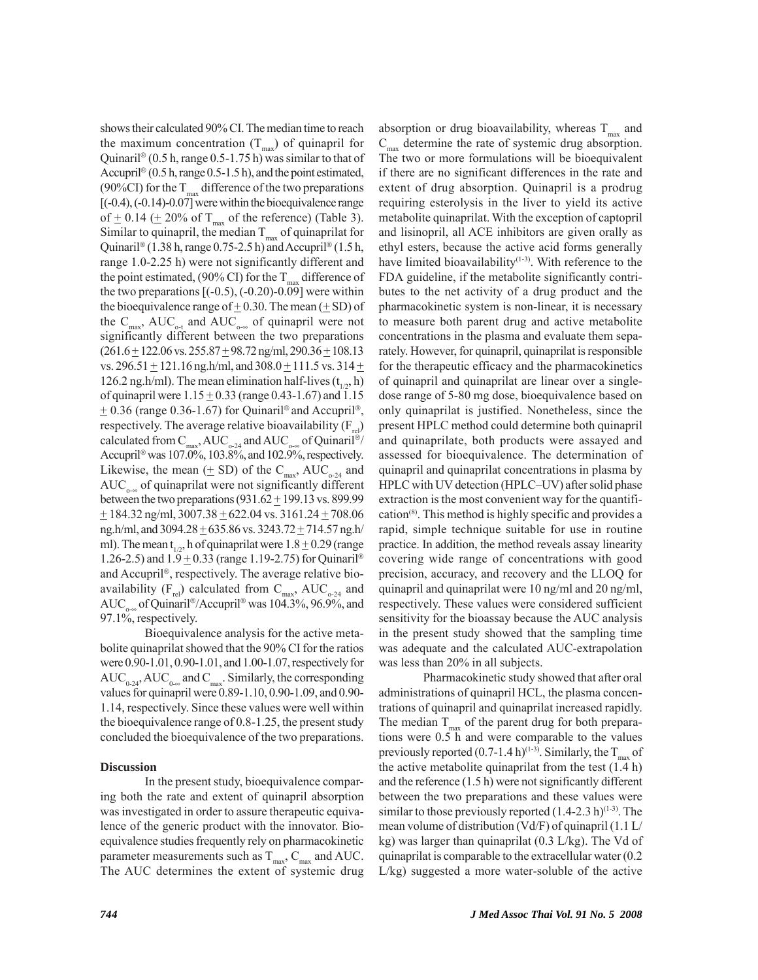shows their calculated 90% CI. The median time to reach the maximum concentration  $(T_{\text{max}})$  of quinapril for Quinaril® (0.5 h, range 0.5-1.75 h) was similar to that of Accupril® (0.5 h, range 0.5-1.5 h), and the point estimated, (90%CI) for the  $T_{\text{max}}$  difference of the two preparations [(-0.4), (-0.14)-0.07] were within the bioequivalence range of  $\pm$  0.14 ( $\pm$  20% of T<sub>max</sub> of the reference) (Table 3). Similar to quinapril, the median  $T_{\text{max}}$  of quinaprilat for Quinaril® (1.38 h, range 0.75-2.5 h) and Accupril® (1.5 h, range 1.0-2.25 h) were not significantly different and the point estimated, (90% CI) for the  $T_{\text{max}}$  difference of the two preparations  $[(-0.5), (-0.20)$ -0.09] were within the bioequivalence range of  $\pm$  0.30. The mean ( $\pm$  SD) of the  $C_{\text{max}}$ , AUC<sub>0-t</sub> and AUC<sub>0-∞</sub> of quinapril were not significantly different between the two preparations  $(261.6 \pm 122.06 \text{ vs. } 255.87 \pm 98.72 \text{ ng/ml}, 290.36 \pm 108.13$ vs.  $296.51 \pm 121.16$  ng.h/ml, and  $308.0 \pm 111.5$  vs.  $314 \pm$ 126.2 ng.h/ml). The mean elimination half-lives  $(t_{1,2}, h)$ of quinapril were  $1.15 \pm 0.33$  (range 0.43-1.67) and 1.15  $\pm$  0.36 (range 0.36-1.67) for Quinaril® and Accupril®, respectively. The average relative bioavailability  $(F_{rel})$ calculated from  $C_{\text{max}}$ , AUC<sub>0-24</sub> and AUC<sub>0-∞</sub> of Quinaril<sup>®</sup>/ Accupril® was 107.0%, 103.8%, and 102.9%, respectively. Likewise, the mean ( $\pm$  SD) of the C<sub>max</sub>, AUC<sub>0-24</sub> and  $AUC_{\alpha\infty}$  of quinaprilat were not significantly different between the two preparations  $(931.62 \pm 199.13 \text{ vs. } 899.99$  $+ 184.32$  ng/ml,  $3007.38 + 622.04$  vs.  $3161.24 + 708.06$ ng.h/ml, and  $3094.28 \pm 635.86$  vs.  $3243.72 \pm 714.57$  ng.h/ ml). The mean  $t_{1/2}$ , h of quinaprilat were  $1.8 \pm 0.29$  (range 1.26-2.5) and  $1.9 \pm 0.33$  (range 1.19-2.75) for Quinaril® and Accupril®, respectively. The average relative bioavailability  $(F_{rel})$  calculated from  $C_{max}$ , AUC<sub>0-24</sub> and AUC<sub>0-∞</sub> of Quinaril®/Accupril® was 104.3%, 96.9%, and 97.1%, respectively.

Bioequivalence analysis for the active metabolite quinaprilat showed that the 90% CI for the ratios were 0.90-1.01, 0.90-1.01, and 1.00-1.07, respectively for AUC<sub>0-24</sub>, AUC<sub>0-∞</sub> and C<sub>max</sub>. Similarly, the corresponding values for quinapril were 0.89-1.10, 0.90-1.09, and 0.90- 1.14, respectively. Since these values were well within the bioequivalence range of 0.8-1.25, the present study concluded the bioequivalence of the two preparations.

#### **Discussion**

In the present study, bioequivalence comparing both the rate and extent of quinapril absorption was investigated in order to assure therapeutic equivalence of the generic product with the innovator. Bioequivalence studies frequently rely on pharmacokinetic parameter measurements such as  $T_{\text{max}}$ ,  $C_{\text{max}}$  and AUC. The AUC determines the extent of systemic drug absorption or drug bioavailability, whereas  $T_{\text{max}}$  and  $C_{\text{max}}$  determine the rate of systemic drug absorption. The two or more formulations will be bioequivalent if there are no significant differences in the rate and extent of drug absorption. Quinapril is a prodrug requiring esterolysis in the liver to yield its active metabolite quinaprilat. With the exception of captopril and lisinopril, all ACE inhibitors are given orally as ethyl esters, because the active acid forms generally have limited bioavailability<sup>(1-3)</sup>. With reference to the FDA guideline, if the metabolite significantly contributes to the net activity of a drug product and the pharmacokinetic system is non-linear, it is necessary to measure both parent drug and active metabolite concentrations in the plasma and evaluate them separately. However, for quinapril, quinaprilat is responsible for the therapeutic efficacy and the pharmacokinetics of quinapril and quinaprilat are linear over a singledose range of 5-80 mg dose, bioequivalence based on only quinaprilat is justified. Nonetheless, since the present HPLC method could determine both quinapril and quinaprilate, both products were assayed and assessed for bioequivalence. The determination of quinapril and quinaprilat concentrations in plasma by HPLC with UV detection (HPLC–UV) after solid phase extraction is the most convenient way for the quantification(8). This method is highly specific and provides a rapid, simple technique suitable for use in routine practice. In addition, the method reveals assay linearity covering wide range of concentrations with good precision, accuracy, and recovery and the LLOQ for quinapril and quinaprilat were 10 ng/ml and 20 ng/ml, respectively. These values were considered sufficient sensitivity for the bioassay because the AUC analysis in the present study showed that the sampling time was adequate and the calculated AUC-extrapolation was less than 20% in all subjects.

Pharmacokinetic study showed that after oral administrations of quinapril HCL, the plasma concentrations of quinapril and quinaprilat increased rapidly. The median  $T_{\text{max}}$  of the parent drug for both preparations were 0.5 h and were comparable to the values previously reported (0.7-1.4 h)<sup>(1-3)</sup>. Similarly, the  $T_{\text{max}}$  of the active metabolite quinaprilat from the test (1.4 h) and the reference (1.5 h) were not significantly different between the two preparations and these values were similar to those previously reported  $(1.4-2.3 h)^{(1-3)}$ . The mean volume of distribution (Vd/F) of quinapril (1.1 L/ kg) was larger than quinaprilat (0.3 L/kg). The Vd of quinaprilat is comparable to the extracellular water (0.2 L/kg) suggested a more water-soluble of the active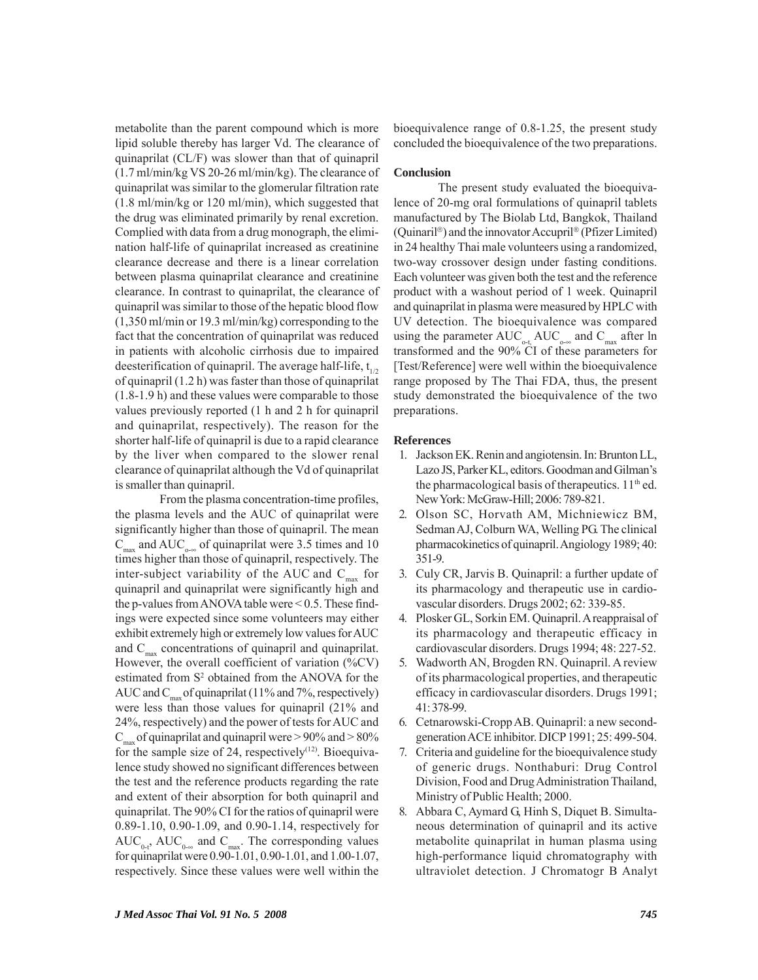metabolite than the parent compound which is more lipid soluble thereby has larger Vd. The clearance of quinaprilat (CL/F) was slower than that of quinapril (1.7 ml/min/kg VS 20-26 ml/min/kg). The clearance of quinaprilat was similar to the glomerular filtration rate (1.8 ml/min/kg or 120 ml/min), which suggested that the drug was eliminated primarily by renal excretion. Complied with data from a drug monograph, the elimination half-life of quinaprilat increased as creatinine clearance decrease and there is a linear correlation between plasma quinaprilat clearance and creatinine clearance. In contrast to quinaprilat, the clearance of quinapril was similar to those of the hepatic blood flow (1,350 ml/min or 19.3 ml/min/kg) corresponding to the fact that the concentration of quinaprilat was reduced in patients with alcoholic cirrhosis due to impaired deesterification of quinapril. The average half-life,  $t_{1/2}$ of quinapril (1.2 h) was faster than those of quinaprilat (1.8-1.9 h) and these values were comparable to those values previously reported (1 h and 2 h for quinapril and quinaprilat, respectively). The reason for the shorter half-life of quinapril is due to a rapid clearance by the liver when compared to the slower renal clearance of quinaprilat although the Vd of quinaprilat is smaller than quinapril.

From the plasma concentration-time profiles, the plasma levels and the AUC of quinaprilat were significantly higher than those of quinapril. The mean  $C_{\text{max}}$  and AUC<sub>0-∞</sub> of quinaprilat were 3.5 times and 10 times higher than those of quinapril, respectively. The inter-subject variability of the AUC and  $C_{\text{max}}$  for quinapril and quinaprilat were significantly high and the p-values from ANOVA table were  $\leq 0.5$ . These findings were expected since some volunteers may either exhibit extremely high or extremely low values for AUC and  $C_{\text{max}}$  concentrations of quinapril and quinaprilat. However, the overall coefficient of variation (%CV) estimated from S<sup>2</sup> obtained from the ANOVA for the AUC and  $C_{\text{max}}$  of quinaprilat (11% and 7%, respectively) were less than those values for quinapril (21% and 24%, respectively) and the power of tests for AUC and  $C_{\text{max}}$  of quinaprilat and quinapril were  $> 90\%$  and  $> 80\%$ for the sample size of 24, respectively $(12)$ . Bioequivalence study showed no significant differences between the test and the reference products regarding the rate and extent of their absorption for both quinapril and quinaprilat. The 90% CI for the ratios of quinapril were 0.89-1.10, 0.90-1.09, and 0.90-1.14, respectively for  $AUC_{0}$ ,  $AUC_{0}$  and  $C_{max}$ . The corresponding values for quinaprilat were 0.90-1.01, 0.90-1.01, and 1.00-1.07, respectively. Since these values were well within the

bioequivalence range of 0.8-1.25, the present study concluded the bioequivalence of the two preparations.

#### **Conclusion**

The present study evaluated the bioequivalence of 20-mg oral formulations of quinapril tablets manufactured by The Biolab Ltd, Bangkok, Thailand (Quinaril®) and the innovator Accupril® (Pfizer Limited) in 24 healthy Thai male volunteers using a randomized, two-way crossover design under fasting conditions. Each volunteer was given both the test and the reference product with a washout period of 1 week. Quinapril and quinaprilat in plasma were measured by HPLC with UV detection. The bioequivalence was compared using the parameter  $AUC_{o-t}AUC_{o-\infty}$  and  $C_{max}$  after ln transformed and the 90% CI of these parameters for [Test/Reference] were well within the bioequivalence range proposed by The Thai FDA, thus, the present study demonstrated the bioequivalence of the two preparations.

#### **References**

- 1. Jackson EK. Renin and angiotensin. In: Brunton LL, Lazo JS, Parker KL, editors. Goodman and Gilman's the pharmacological basis of therapeutics.  $11<sup>th</sup>$  ed. New York: McGraw-Hill; 2006: 789-821.
- 2. Olson SC, Horvath AM, Michniewicz BM, Sedman AJ, Colburn WA, Welling PG. The clinical pharmacokinetics of quinapril. Angiology 1989; 40: 351-9.
- 3. Culy CR, Jarvis B. Quinapril: a further update of its pharmacology and therapeutic use in cardiovascular disorders. Drugs 2002; 62: 339-85.
- 4. Plosker GL, Sorkin EM. Quinapril. A reappraisal of its pharmacology and therapeutic efficacy in cardiovascular disorders. Drugs 1994; 48: 227-52.
- 5. Wadworth AN, Brogden RN. Quinapril. A review of its pharmacological properties, and therapeutic efficacy in cardiovascular disorders. Drugs 1991; 41: 378-99.
- 6. Cetnarowski-Cropp AB. Quinapril: a new secondgeneration ACE inhibitor. DICP 1991; 25: 499-504.
- 7. Criteria and guideline for the bioequivalence study of generic drugs. Nonthaburi: Drug Control Division, Food and Drug Administration Thailand, Ministry of Public Health; 2000.
- 8. Abbara C, Aymard G, Hinh S, Diquet B. Simultaneous determination of quinapril and its active metabolite quinaprilat in human plasma using high-performance liquid chromatography with ultraviolet detection. J Chromatogr B Analyt